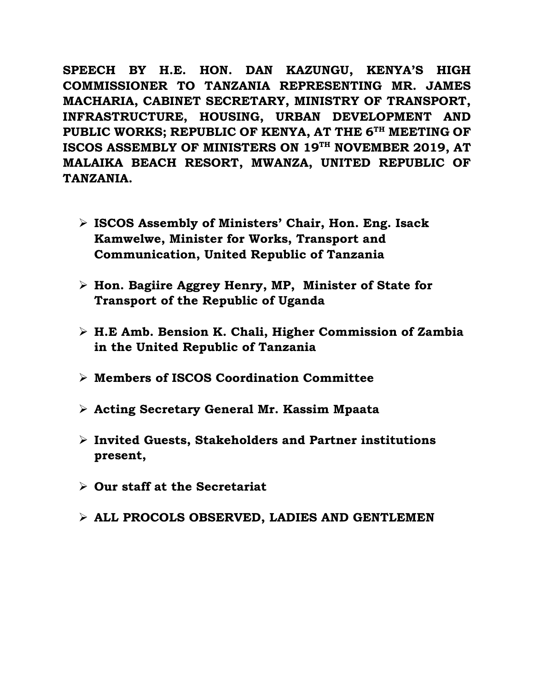**SPEECH BY H.E. HON. DAN KAZUNGU, KENYA'S HIGH COMMISSIONER TO TANZANIA REPRESENTING MR. JAMES MACHARIA, CABINET SECRETARY, MINISTRY OF TRANSPORT, INFRASTRUCTURE, HOUSING, URBAN DEVELOPMENT AND PUBLIC WORKS; REPUBLIC OF KENYA, AT THE 6 TH MEETING OF ISCOS ASSEMBLY OF MINISTERS ON 19TH NOVEMBER 2019, AT MALAIKA BEACH RESORT, MWANZA, UNITED REPUBLIC OF TANZANIA.**

- ➢ **ISCOS Assembly of Ministers' Chair, Hon. Eng. Isack Kamwelwe, Minister for Works, Transport and Communication, United Republic of Tanzania**
- ➢ **Hon. Bagiire Aggrey Henry, MP, Minister of State for Transport of the Republic of Uganda**
- ➢ **H.E Amb. Bension K. Chali, Higher Commission of Zambia in the United Republic of Tanzania**
- ➢ **Members of ISCOS Coordination Committee**
- ➢ **Acting Secretary General Mr. Kassim Mpaata**
- ➢ **Invited Guests, Stakeholders and Partner institutions present,**
- ➢ **Our staff at the Secretariat**
- ➢ **ALL PROCOLS OBSERVED, LADIES AND GENTLEMEN**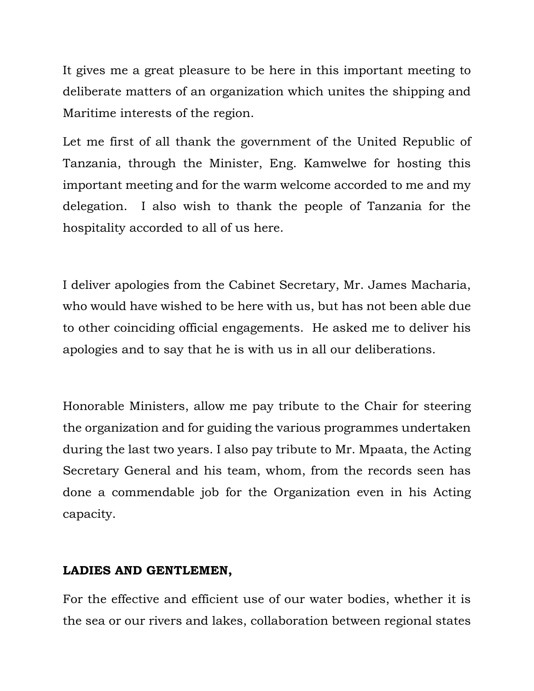It gives me a great pleasure to be here in this important meeting to deliberate matters of an organization which unites the shipping and Maritime interests of the region.

Let me first of all thank the government of the United Republic of Tanzania, through the Minister, Eng. Kamwelwe for hosting this important meeting and for the warm welcome accorded to me and my delegation. I also wish to thank the people of Tanzania for the hospitality accorded to all of us here.

I deliver apologies from the Cabinet Secretary, Mr. James Macharia, who would have wished to be here with us, but has not been able due to other coinciding official engagements. He asked me to deliver his apologies and to say that he is with us in all our deliberations.

Honorable Ministers, allow me pay tribute to the Chair for steering the organization and for guiding the various programmes undertaken during the last two years. I also pay tribute to Mr. Mpaata, the Acting Secretary General and his team, whom, from the records seen has done a commendable job for the Organization even in his Acting capacity.

## **LADIES AND GENTLEMEN,**

For the effective and efficient use of our water bodies, whether it is the sea or our rivers and lakes, collaboration between regional states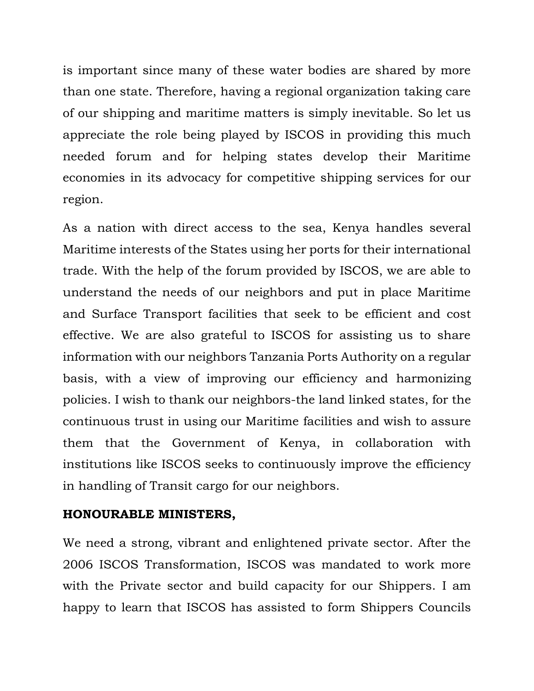is important since many of these water bodies are shared by more than one state. Therefore, having a regional organization taking care of our shipping and maritime matters is simply inevitable. So let us appreciate the role being played by ISCOS in providing this much needed forum and for helping states develop their Maritime economies in its advocacy for competitive shipping services for our region.

As a nation with direct access to the sea, Kenya handles several Maritime interests of the States using her ports for their international trade. With the help of the forum provided by ISCOS, we are able to understand the needs of our neighbors and put in place Maritime and Surface Transport facilities that seek to be efficient and cost effective. We are also grateful to ISCOS for assisting us to share information with our neighbors Tanzania Ports Authority on a regular basis, with a view of improving our efficiency and harmonizing policies. I wish to thank our neighbors-the land linked states, for the continuous trust in using our Maritime facilities and wish to assure them that the Government of Kenya, in collaboration with institutions like ISCOS seeks to continuously improve the efficiency in handling of Transit cargo for our neighbors.

## **HONOURABLE MINISTERS,**

We need a strong, vibrant and enlightened private sector. After the 2006 ISCOS Transformation, ISCOS was mandated to work more with the Private sector and build capacity for our Shippers. I am happy to learn that ISCOS has assisted to form Shippers Councils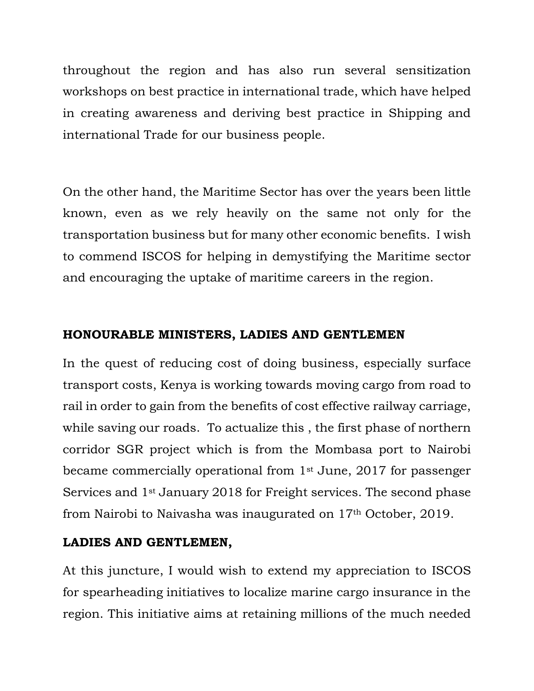throughout the region and has also run several sensitization workshops on best practice in international trade, which have helped in creating awareness and deriving best practice in Shipping and international Trade for our business people.

On the other hand, the Maritime Sector has over the years been little known, even as we rely heavily on the same not only for the transportation business but for many other economic benefits. I wish to commend ISCOS for helping in demystifying the Maritime sector and encouraging the uptake of maritime careers in the region.

# **HONOURABLE MINISTERS, LADIES AND GENTLEMEN**

In the quest of reducing cost of doing business, especially surface transport costs, Kenya is working towards moving cargo from road to rail in order to gain from the benefits of cost effective railway carriage, while saving our roads. To actualize this , the first phase of northern corridor SGR project which is from the Mombasa port to Nairobi became commercially operational from 1st June, 2017 for passenger Services and 1st January 2018 for Freight services. The second phase from Nairobi to Naivasha was inaugurated on 17th October, 2019.

# **LADIES AND GENTLEMEN,**

At this juncture, I would wish to extend my appreciation to ISCOS for spearheading initiatives to localize marine cargo insurance in the region. This initiative aims at retaining millions of the much needed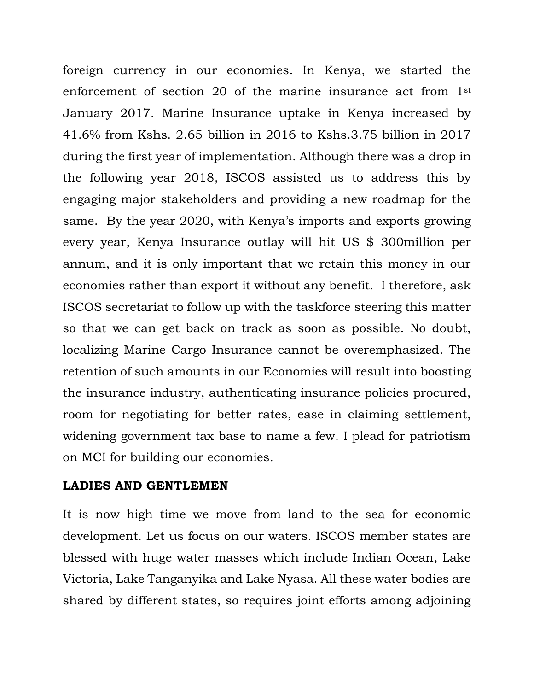foreign currency in our economies. In Kenya, we started the enforcement of section 20 of the marine insurance act from 1st January 2017. Marine Insurance uptake in Kenya increased by 41.6% from Kshs. 2.65 billion in 2016 to Kshs.3.75 billion in 2017 during the first year of implementation. Although there was a drop in the following year 2018, ISCOS assisted us to address this by engaging major stakeholders and providing a new roadmap for the same. By the year 2020, with Kenya's imports and exports growing every year, Kenya Insurance outlay will hit US \$ 300million per annum, and it is only important that we retain this money in our economies rather than export it without any benefit. I therefore, ask ISCOS secretariat to follow up with the taskforce steering this matter so that we can get back on track as soon as possible. No doubt, localizing Marine Cargo Insurance cannot be overemphasized. The retention of such amounts in our Economies will result into boosting the insurance industry, authenticating insurance policies procured, room for negotiating for better rates, ease in claiming settlement, widening government tax base to name a few. I plead for patriotism on MCI for building our economies.

#### **LADIES AND GENTLEMEN**

It is now high time we move from land to the sea for economic development. Let us focus on our waters. ISCOS member states are blessed with huge water masses which include Indian Ocean, Lake Victoria, Lake Tanganyika and Lake Nyasa. All these water bodies are shared by different states, so requires joint efforts among adjoining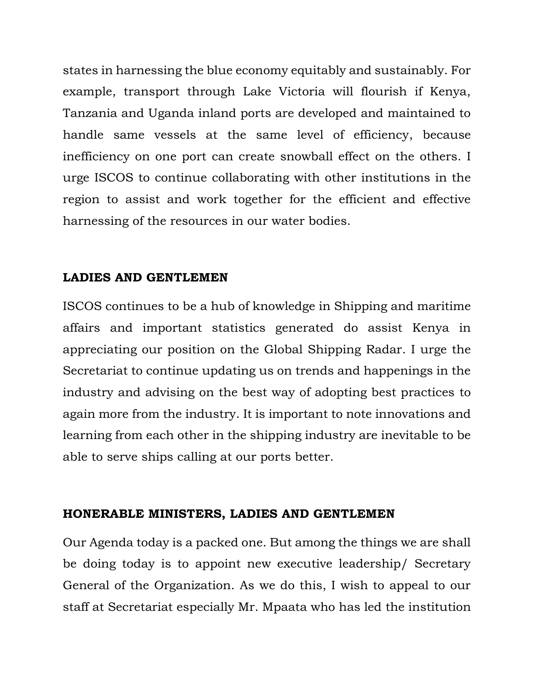states in harnessing the blue economy equitably and sustainably. For example, transport through Lake Victoria will flourish if Kenya, Tanzania and Uganda inland ports are developed and maintained to handle same vessels at the same level of efficiency, because inefficiency on one port can create snowball effect on the others. I urge ISCOS to continue collaborating with other institutions in the region to assist and work together for the efficient and effective harnessing of the resources in our water bodies.

## **LADIES AND GENTLEMEN**

ISCOS continues to be a hub of knowledge in Shipping and maritime affairs and important statistics generated do assist Kenya in appreciating our position on the Global Shipping Radar. I urge the Secretariat to continue updating us on trends and happenings in the industry and advising on the best way of adopting best practices to again more from the industry. It is important to note innovations and learning from each other in the shipping industry are inevitable to be able to serve ships calling at our ports better.

## **HONERABLE MINISTERS, LADIES AND GENTLEMEN**

Our Agenda today is a packed one. But among the things we are shall be doing today is to appoint new executive leadership/ Secretary General of the Organization. As we do this, I wish to appeal to our staff at Secretariat especially Mr. Mpaata who has led the institution